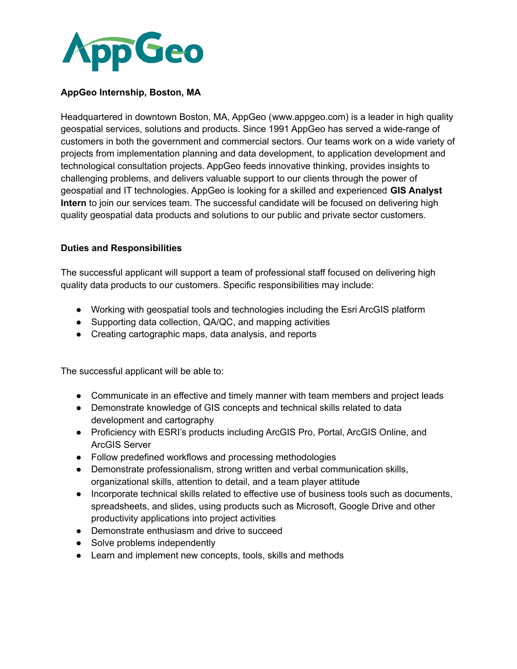

# **AppGeo Internship, Boston, MA**

Headquartered in downtown Boston, MA, AppGeo ([www.appgeo.com](http://www.appgeo.com)) is a leader in high quality geospatial services, solutions and products. Since 1991 AppGeo has served a wide-range of customers in both the government and commercial sectors. Our teams work on a wide variety of projects from implementation planning and data development, to application development and technological consultation projects. AppGeo feeds innovative thinking, provides insights to challenging problems, and delivers valuable support to our clients through the power of geospatial and IT technologies. AppGeo is looking for a skilled and experienced **GIS Analyst Intern** to join our services team. The successful candidate will be focused on delivering high quality geospatial data products and solutions to our public and private sector customers.

## **Duties and Responsibilities**

The successful applicant will support a team of professional staff focused on delivering high quality data products to our customers. Specific responsibilities may include:

- Working with geospatial tools and technologies including the Esri ArcGIS platform
- Supporting data collection, QA/QC, and mapping activities
- Creating cartographic maps, data analysis, and reports

The successful applicant will be able to:

- Communicate in an effective and timely manner with team members and project leads
- Demonstrate knowledge of GIS concepts and technical skills related to data development and cartography
- Proficiency with ESRI's products including ArcGIS Pro, Portal, ArcGIS Online, and ArcGIS Server
- Follow predefined workflows and processing methodologies
- Demonstrate professionalism, strong written and verbal communication skills, organizational skills, attention to detail, and a team player attitude
- Incorporate technical skills related to effective use of business tools such as documents, spreadsheets, and slides, using products such as Microsoft, Google Drive and other productivity applications into project activities
- Demonstrate enthusiasm and drive to succeed
- Solve problems independently
- Learn and implement new concepts, tools, skills and methods